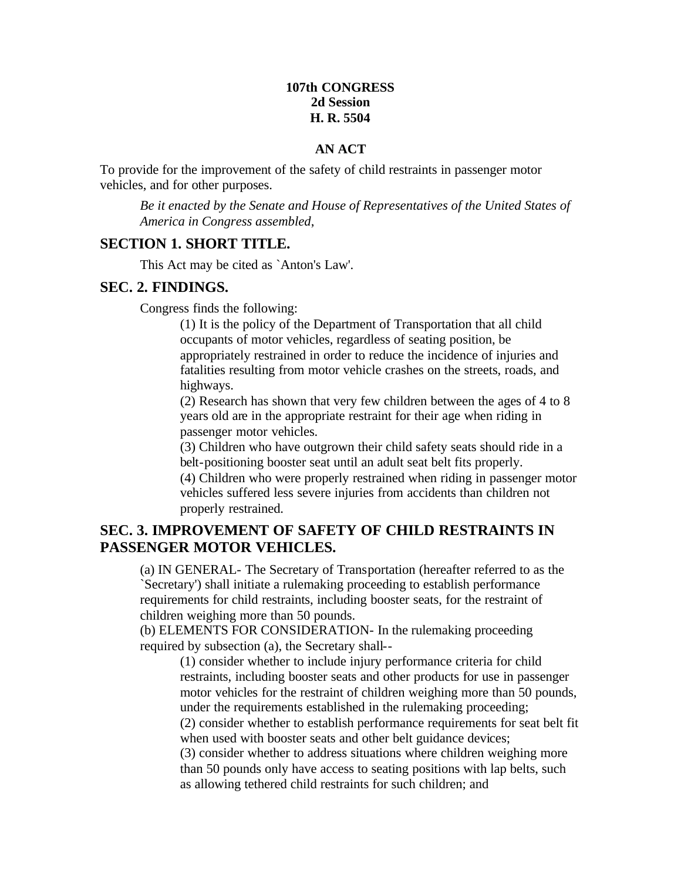### **107th CONGRESS 2d Session H. R. 5504**

#### **AN ACT**

To provide for the improvement of the safety of child restraints in passenger motor vehicles, and for other purposes.

*Be it enacted by the Senate and House of Representatives of the United States of America in Congress assembled*,

### **SECTION 1. SHORT TITLE.**

This Act may be cited as `Anton's Law'.

#### **SEC. 2. FINDINGS.**

Congress finds the following:

(1) It is the policy of the Department of Transportation that all child occupants of motor vehicles, regardless of seating position, be appropriately restrained in order to reduce the incidence of injuries and fatalities resulting from motor vehicle crashes on the streets, roads, and highways.

(2) Research has shown that very few children between the ages of 4 to 8 years old are in the appropriate restraint for their age when riding in passenger motor vehicles.

(3) Children who have outgrown their child safety seats should ride in a belt-positioning booster seat until an adult seat belt fits properly.

(4) Children who were properly restrained when riding in passenger motor vehicles suffered less severe injuries from accidents than children not properly restrained.

### **SEC. 3. IMPROVEMENT OF SAFETY OF CHILD RESTRAINTS IN PASSENGER MOTOR VEHICLES.**

(a) IN GENERAL- The Secretary of Transportation (hereafter referred to as the `Secretary') shall initiate a rulemaking proceeding to establish performance requirements for child restraints, including booster seats, for the restraint of children weighing more than 50 pounds.

(b) ELEMENTS FOR CONSIDERATION- In the rulemaking proceeding required by subsection (a), the Secretary shall--

(1) consider whether to include injury performance criteria for child restraints, including booster seats and other products for use in passenger motor vehicles for the restraint of children weighing more than 50 pounds, under the requirements established in the rulemaking proceeding;

(2) consider whether to establish performance requirements for seat belt fit when used with booster seats and other belt guidance devices;

(3) consider whether to address situations where children weighing more than 50 pounds only have access to seating positions with lap belts, such as allowing tethered child restraints for such children; and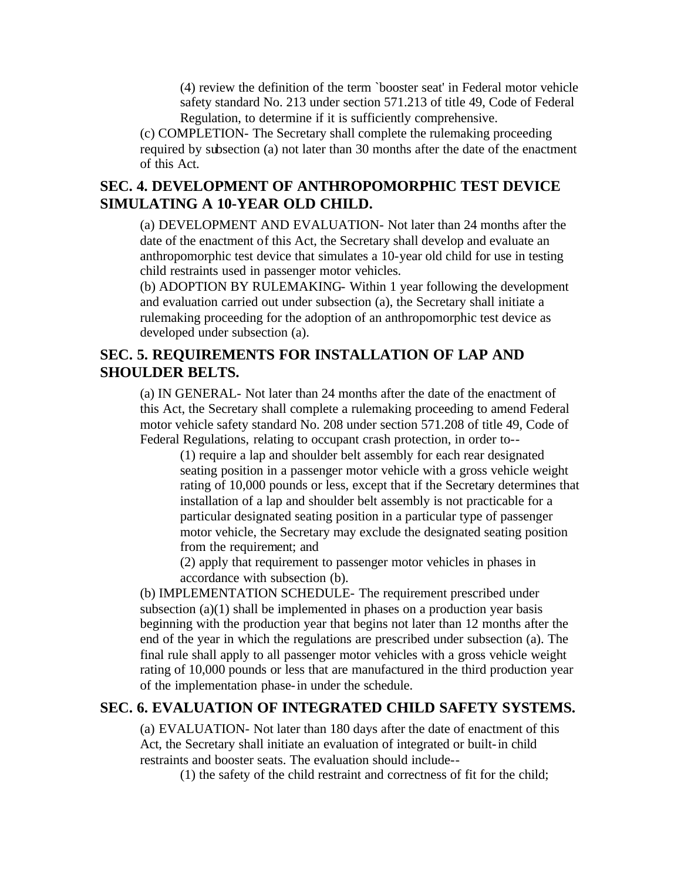(4) review the definition of the term `booster seat' in Federal motor vehicle safety standard No. 213 under section 571.213 of title 49, Code of Federal Regulation, to determine if it is sufficiently comprehensive.

(c) COMPLETION- The Secretary shall complete the rulemaking proceeding required by subsection (a) not later than 30 months after the date of the enactment of this Act.

## **SEC. 4. DEVELOPMENT OF ANTHROPOMORPHIC TEST DEVICE SIMULATING A 10-YEAR OLD CHILD.**

(a) DEVELOPMENT AND EVALUATION- Not later than 24 months after the date of the enactment of this Act, the Secretary shall develop and evaluate an anthropomorphic test device that simulates a 10-year old child for use in testing child restraints used in passenger motor vehicles.

(b) ADOPTION BY RULEMAKING- Within 1 year following the development and evaluation carried out under subsection (a), the Secretary shall initiate a rulemaking proceeding for the adoption of an anthropomorphic test device as developed under subsection (a).

## **SEC. 5. REQUIREMENTS FOR INSTALLATION OF LAP AND SHOULDER BELTS.**

(a) IN GENERAL- Not later than 24 months after the date of the enactment of this Act, the Secretary shall complete a rulemaking proceeding to amend Federal motor vehicle safety standard No. 208 under section 571.208 of title 49, Code of Federal Regulations, relating to occupant crash protection, in order to--

(1) require a lap and shoulder belt assembly for each rear designated seating position in a passenger motor vehicle with a gross vehicle weight rating of 10,000 pounds or less, except that if the Secretary determines that installation of a lap and shoulder belt assembly is not practicable for a particular designated seating position in a particular type of passenger motor vehicle, the Secretary may exclude the designated seating position from the requirement; and

(2) apply that requirement to passenger motor vehicles in phases in accordance with subsection (b).

(b) IMPLEMENTATION SCHEDULE- The requirement prescribed under subsection  $(a)(1)$  shall be implemented in phases on a production year basis beginning with the production year that begins not later than 12 months after the end of the year in which the regulations are prescribed under subsection (a). The final rule shall apply to all passenger motor vehicles with a gross vehicle weight rating of 10,000 pounds or less that are manufactured in the third production year of the implementation phase-in under the schedule.

## **SEC. 6. EVALUATION OF INTEGRATED CHILD SAFETY SYSTEMS.**

(a) EVALUATION- Not later than 180 days after the date of enactment of this Act, the Secretary shall initiate an evaluation of integrated or built-in child restraints and booster seats. The evaluation should include--

(1) the safety of the child restraint and correctness of fit for the child;